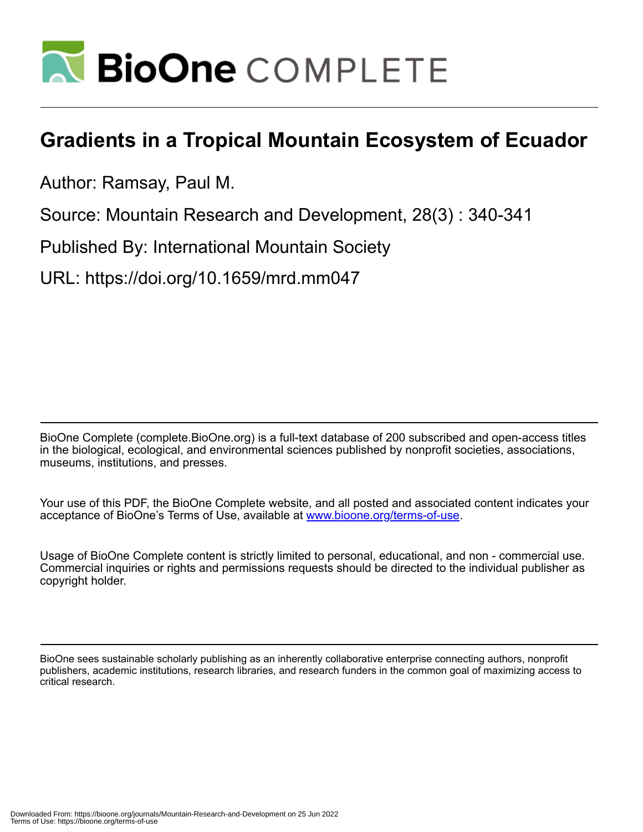

# **Gradients in a Tropical Mountain Ecosystem of Ecuador**

Author: Ramsay, Paul M.

Source: Mountain Research and Development, 28(3) : 340-341

Published By: International Mountain Society

URL: https://doi.org/10.1659/mrd.mm047

BioOne Complete (complete.BioOne.org) is a full-text database of 200 subscribed and open-access titles in the biological, ecological, and environmental sciences published by nonprofit societies, associations, museums, institutions, and presses.

Your use of this PDF, the BioOne Complete website, and all posted and associated content indicates your acceptance of BioOne's Terms of Use, available at www.bioone.org/terms-of-use.

Usage of BioOne Complete content is strictly limited to personal, educational, and non - commercial use. Commercial inquiries or rights and permissions requests should be directed to the individual publisher as copyright holder.

BioOne sees sustainable scholarly publishing as an inherently collaborative enterprise connecting authors, nonprofit publishers, academic institutions, research libraries, and research funders in the common goal of maximizing access to critical research.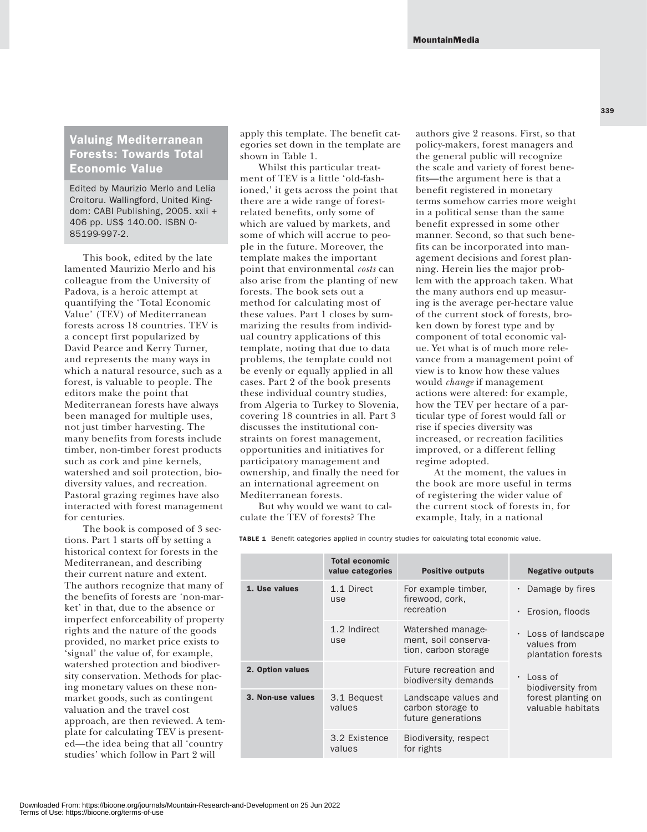Valuing Mediterranean Forests: Towards Total Economic Value

Edited by Maurizio Merlo and Lelia Croitoru. Wallingford, United Kingdom: CABI Publishing, 2005. xxii + 406 pp. US\$ 140.00. ISBN 0- 85199-997-2.

This book, edited by the late lamented Maurizio Merlo and his colleague from the University of Padova, is a heroic attempt at quantifying the 'Total Economic Value' (TEV) of Mediterranean forests across 18 countries. TEV is a concept first popularized by David Pearce and Kerry Turner, and represents the many ways in which a natural resource, such as a forest, is valuable to people. The editors make the point that Mediterranean forests have always been managed for multiple uses, not just timber harvesting. The many benefits from forests include timber, non-timber forest products such as cork and pine kernels, watershed and soil protection, biodiversity values, and recreation. Pastoral grazing regimes have also interacted with forest management for centuries.

The book is composed of 3 sections. Part 1 starts off by setting a historical context for forests in the Mediterranean, and describing their current nature and extent. The authors recognize that many of the benefits of forests are 'non-market' in that, due to the absence or imperfect enforceability of property rights and the nature of the goods provided, no market price exists to 'signal' the value of, for example, watershed protection and biodiversity conservation. Methods for placing monetary values on these nonmarket goods, such as contingent valuation and the travel cost approach, are then reviewed. A template for calculating TEV is presented—the idea being that all 'country studies' which follow in Part 2 will

apply this template. The benefit categories set down in the template are shown in Table 1.

Whilst this particular treatment of TEV is a little 'old-fashioned,' it gets across the point that there are a wide range of forestrelated benefits, only some of which are valued by markets, and some of which will accrue to people in the future. Moreover, the template makes the important point that environmental *costs* can also arise from the planting of new forests. The book sets out a method for calculating most of these values. Part 1 closes by summarizing the results from individual country applications of this template, noting that due to data problems, the template could not be evenly or equally applied in all cases. Part 2 of the book presents these individual country studies, from Algeria to Turkey to Slovenia, covering 18 countries in all. Part 3 discusses the institutional constraints on forest management, opportunities and initiatives for participatory management and ownership, and finally the need for an international agreement on Mediterranean forests.

But why would we want to calculate the TEV of forests? The

authors give 2 reasons. First, so that policy-makers, forest managers and the general public will recognize the scale and variety of forest benefits—the argument here is that a benefit registered in monetary terms somehow carries more weight in a political sense than the same benefit expressed in some other manner. Second, so that such benefits can be incorporated into management decisions and forest planning. Herein lies the major problem with the approach taken. What the many authors end up measuring is the average per-hectare value of the current stock of forests, broken down by forest type and by component of total economic value. Yet what is of much more relevance from a management point of view is to know how these values would *change* if management actions were altered: for example, how the TEV per hectare of a particular type of forest would fall or rise if species diversity was increased, or recreation facilities improved, or a different felling regime adopted.

At the moment, the values in the book are more useful in terms of registering the wider value of the current stock of forests in, for example, Italy, in a national

TABLE 1 Benefit categories applied in country studies for calculating total economic value.

|                   | <b>Total economic</b><br>value categories | <b>Positive outputs</b>                                           | <b>Negative outputs</b>                                                              |
|-------------------|-------------------------------------------|-------------------------------------------------------------------|--------------------------------------------------------------------------------------|
| 1. Use values     | 1.1 Direct<br>use                         | For example timber.<br>firewood, cork,<br>recreation              | Damage by fires<br>$\bullet$<br>Erosion, floods<br>$\bullet$                         |
|                   | 1.2 Indirect<br>use                       | Watershed manage-<br>ment, soil conserva-<br>tion, carbon storage | $\cdot$ Loss of landscape<br>values from<br>plantation forests                       |
| 2. Option values  |                                           | Future recreation and<br>biodiversity demands                     | Loss of<br>$\bullet$<br>biodiversity from<br>forest planting on<br>valuable habitats |
| 3. Non-use values | 3.1 Bequest<br>values                     | Landscape values and<br>carbon storage to<br>future generations   |                                                                                      |
|                   | 3.2 Existence<br>values                   | Biodiversity, respect<br>for rights                               |                                                                                      |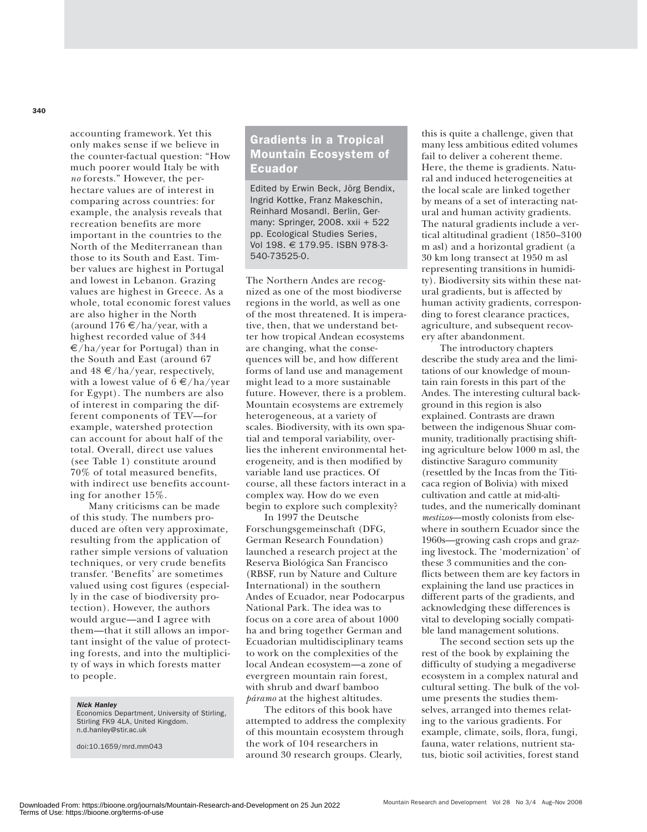accounting framework. Yet this only makes sense if we believe in the counter-factual question: "How much poorer would Italy be with *no* forests." However, the perhectare values are of interest in comparing across countries: for example, the analysis reveals that recreation benefits are more important in the countries to the North of the Mediterranean than those to its South and East. Timber values are highest in Portugal and lowest in Lebanon. Grazing values are highest in Greece. As a whole, total economic forest values are also higher in the North (around  $176 \in$ /ha/year, with a highest recorded value of 344 €/ha/year for Portugal) than in the South and East (around 67 and  $48 \in/ha$ /year, respectively, with a lowest value of  $6 \in /ha$ /year for Egypt). The numbers are also of interest in comparing the different components of TEV—for example, watershed protection can account for about half of the total. Overall, direct use values (see Table 1) constitute around 70% of total measured benefits, with indirect use benefits accounting for another 15%.

Many criticisms can be made of this study. The numbers produced are often very approximate, resulting from the application of rather simple versions of valuation techniques, or very crude benefits transfer. 'Benefits' are sometimes valued using cost figures (especially in the case of biodiversity protection). However, the authors would argue—and I agree with them—that it still allows an important insight of the value of protecting forests, and into the multiplicity of ways in which forests matter to people.

**Nick Hanley**<br>Economics Department, University of Stirling, Stirling FK9 4LA, United Kingdom. n.d.hanley@stir.ac.uk

doi:10.1659/mrd.mm043

## Gradients in a Tropical Mountain Ecosystem of Ecuador

Edited by Erwin Beck, Jörg Bendix, Ingrid Kottke, Franz Makeschin, Reinhard Mosandl. Berlin, Germany: Springer, 2008. xxii + 522 pp. Ecological Studies Series, Vol 198. € 179.95. ISBN 978-3- 540-73525-0.

The Northern Andes are recognized as one of the most biodiverse regions in the world, as well as one of the most threatened. It is imperative, then, that we understand better how tropical Andean ecosystems are changing, what the consequences will be, and how different forms of land use and management might lead to a more sustainable future. However, there is a problem. Mountain ecosystems are extremely heterogeneous, at a variety of scales. Biodiversity, with its own spatial and temporal variability, overlies the inherent environmental heterogeneity, and is then modified by variable land use practices. Of course, all these factors interact in a complex way. How do we even begin to explore such complexity?

In 1997 the Deutsche Forschungsgemeinschaft (DFG, German Research Foundation) launched a research project at the Reserva Biológica San Francisco (RBSF, run by Nature and Culture International) in the southern Andes of Ecuador, near Podocarpus National Park. The idea was to focus on a core area of about 1000 ha and bring together German and Ecuadorian multidisciplinary teams to work on the complexities of the local Andean ecosystem—a zone of evergreen mountain rain forest, with shrub and dwarf bamboo *páramo* at the highest altitudes.

The editors of this book have attempted to address the complexity of this mountain ecosystem through the work of 104 researchers in around 30 research groups. Clearly,

this is quite a challenge, given that many less ambitious edited volumes fail to deliver a coherent theme. Here, the theme is gradients. Natural and induced heterogeneities at the local scale are linked together by means of a set of interacting natural and human activity gradients. The natural gradients include a vertical altitudinal gradient (1850–3100 m asl) and a horizontal gradient (a 30 km long transect at 1950 m asl representing transitions in humidity). Biodiversity sits within these natural gradients, but is affected by human activity gradients, corresponding to forest clearance practices, agriculture, and subsequent recovery after abandonment.

The introductory chapters describe the study area and the limitations of our knowledge of mountain rain forests in this part of the Andes. The interesting cultural background in this region is also explained. Contrasts are drawn between the indigenous Shuar community, traditionally practising shifting agriculture below 1000 m asl, the distinctive Saraguro community (resettled by the Incas from the Titicaca region of Bolivia) with mixed cultivation and cattle at mid-altitudes, and the numerically dominant *mestizos*—mostly colonists from elsewhere in southern Ecuador since the 1960s—growing cash crops and grazing livestock. The 'modernization' of these 3 communities and the conflicts between them are key factors in explaining the land use practices in different parts of the gradients, and acknowledging these differences is vital to developing socially compatible land management solutions.

The second section sets up the rest of the book by explaining the difficulty of studying a megadiverse ecosystem in a complex natural and cultural setting. The bulk of the volume presents the studies themselves, arranged into themes relating to the various gradients. For example, climate, soils, flora, fungi, fauna, water relations, nutrient status, biotic soil activities, forest stand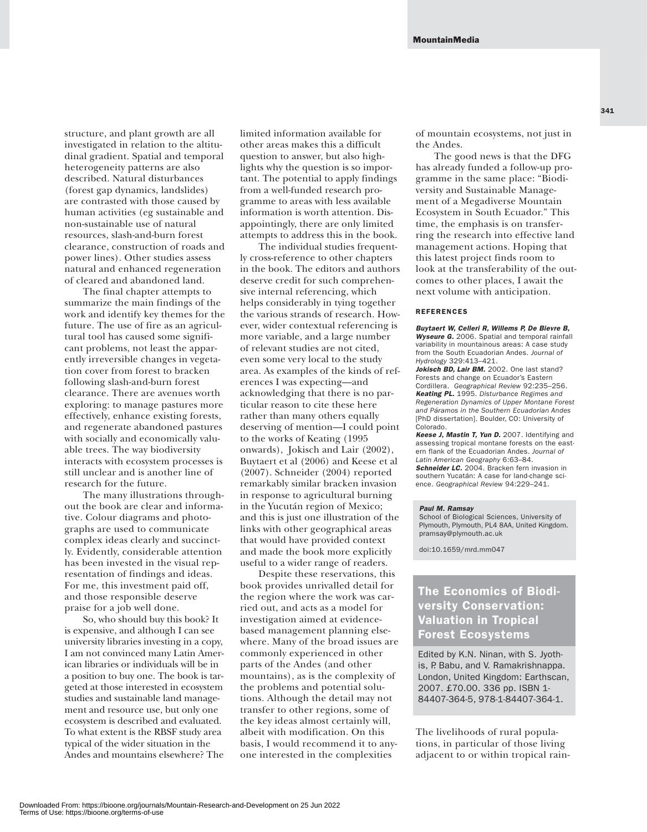structure, and plant growth are all investigated in relation to the altitudinal gradient. Spatial and temporal heterogeneity patterns are also described. Natural disturbances (forest gap dynamics, landslides) are contrasted with those caused by human activities (eg sustainable and non-sustainable use of natural resources, slash-and-burn forest clearance, construction of roads and power lines). Other studies assess natural and enhanced regeneration of cleared and abandoned land.

The final chapter attempts to summarize the main findings of the work and identify key themes for the future. The use of fire as an agricultural tool has caused some significant problems, not least the apparently irreversible changes in vegetation cover from forest to bracken following slash-and-burn forest clearance. There are avenues worth exploring: to manage pastures more effectively, enhance existing forests, and regenerate abandoned pastures with socially and economically valuable trees. The way biodiversity interacts with ecosystem processes is still unclear and is another line of research for the future.

The many illustrations throughout the book are clear and informative. Colour diagrams and photographs are used to communicate complex ideas clearly and succinctly. Evidently, considerable attention has been invested in the visual representation of findings and ideas. For me, this investment paid off, and those responsible deserve praise for a job well done.

So, who should buy this book? It is expensive, and although I can see university libraries investing in a copy, I am not convinced many Latin American libraries or individuals will be in a position to buy one. The book is targeted at those interested in ecosystem studies and sustainable land management and resource use, but only one ecosystem is described and evaluated. To what extent is the RBSF study area typical of the wider situation in the Andes and mountains elsewhere? The limited information available for other areas makes this a difficult question to answer, but also highlights why the question is so important. The potential to apply findings from a well-funded research programme to areas with less available information is worth attention. Disappointingly, there are only limited attempts to address this in the book.

The individual studies frequently cross-reference to other chapters in the book. The editors and authors deserve credit for such comprehensive internal referencing, which helps considerably in tying together the various strands of research. However, wider contextual referencing is more variable, and a large number of relevant studies are not cited, even some very local to the study area. As examples of the kinds of references I was expecting—and acknowledging that there is no particular reason to cite these here rather than many others equally deserving of mention—I could point to the works of Keating (1995 onwards), Jokisch and Lair (2002), Buytaert et al (2006) and Keese et al (2007). Schneider (2004) reported remarkably similar bracken invasion in response to agricultural burning in the Yucután region of Mexico; and this is just one illustration of the links with other geographical areas that would have provided context and made the book more explicitly useful to a wider range of readers.

Despite these reservations, this book provides unrivalled detail for the region where the work was carried out, and acts as a model for investigation aimed at evidencebased management planning elsewhere. Many of the broad issues are commonly experienced in other parts of the Andes (and other mountains), as is the complexity of the problems and potential solutions. Although the detail may not transfer to other regions, some of the key ideas almost certainly will, albeit with modification. On this basis, I would recommend it to anyone interested in the complexities

of mountain ecosystems, not just in the Andes.

The good news is that the DFG has already funded a follow-up programme in the same place: "Biodiversity and Sustainable Management of a Megadiverse Mountain Ecosystem in South Ecuador." This time, the emphasis is on transferring the research into effective land management actions. Hoping that this latest project finds room to look at the transferability of the outcomes to other places, I await the next volume with anticipation.

### **REFERENCES**

Buytaert W, Celleri R, Willems P, De Bievre B, Wyseure G. 2006. Spatial and temporal rainfall variability in mountainous areas: A case study from the South Ecuadorian Andes. *Journal of Hydrology* 329:413–421.

Jokisch BD, Lair BM. 2002. One last stand? Forests and change on Ecuador's Eastern Cordillera. *Geographical Review* 92:235–256. Keating PL. 1995. *Disturbance Regimes and Regeneration Dynamics of Upper Montane Forest and Páramos in the Southern Ecuadorian Andes* [PhD dissertation]. Boulder, CO: University of Colorado.

Keese J, Mastin T, Yun D. 2007. Identifying and assessing tropical montane forests on the eastern flank of the Ecuadorian Andes. *Journal of Latin American Geography* 6:63–84. Schneider LC. 2004. Bracken fern invasion in southern Yucatán: A case for land-change science. *Geographical Review* 94:229–241.

#### Paul M. Ramsay

School of Biological Sciences, University of Plymouth, Plymouth, PL4 8AA, United Kingdom. pramsay@plymouth.ac.uk

doi:10.1659/mrd.mm047

## The Economics of Biodiversity Conservation: Valuation in Tropical Forest Ecosystems

Edited by K.N. Ninan, with S. Jyothis, P. Babu, and V. Ramakrishnappa. London, United Kingdom: Earthscan, 2007. £70.00. 336 pp. ISBN 1- 84407-364-5, 978-1-84407-364-1.

The livelihoods of rural populations, in particular of those living adjacent to or within tropical rain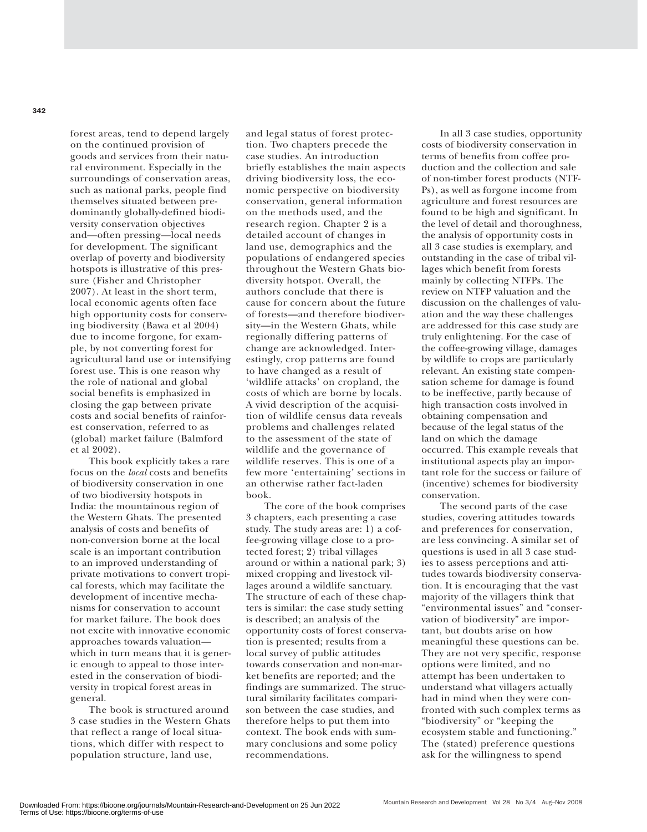forest areas, tend to depend largely on the continued provision of goods and services from their natural environment. Especially in the surroundings of conservation areas, such as national parks, people find themselves situated between predominantly globally-defined biodiversity conservation objectives and—often pressing—local needs for development. The significant overlap of poverty and biodiversity hotspots is illustrative of this pressure (Fisher and Christopher 2007). At least in the short term, local economic agents often face high opportunity costs for conserving biodiversity (Bawa et al 2004) due to income forgone, for example, by not converting forest for agricultural land use or intensifying forest use. This is one reason why the role of national and global social benefits is emphasized in closing the gap between private costs and social benefits of rainforest conservation, referred to as (global) market failure (Balmford et al 2002).

This book explicitly takes a rare focus on the *local* costs and benefits of biodiversity conservation in one of two biodiversity hotspots in India: the mountainous region of the Western Ghats. The presented analysis of costs and benefits of non-conversion borne at the local scale is an important contribution to an improved understanding of private motivations to convert tropical forests, which may facilitate the development of incentive mechanisms for conservation to account for market failure. The book does not excite with innovative economic approaches towards valuation which in turn means that it is generic enough to appeal to those interested in the conservation of biodiversity in tropical forest areas in general.

The book is structured around 3 case studies in the Western Ghats that reflect a range of local situations, which differ with respect to population structure, land use,

and legal status of forest protection. Two chapters precede the case studies. An introduction briefly establishes the main aspects driving biodiversity loss, the economic perspective on biodiversity conservation, general information on the methods used, and the research region. Chapter 2 is a detailed account of changes in land use, demographics and the populations of endangered species throughout the Western Ghats biodiversity hotspot. Overall, the authors conclude that there is cause for concern about the future of forests—and therefore biodiversity—in the Western Ghats, while regionally differing patterns of change are acknowledged. Interestingly, crop patterns are found to have changed as a result of 'wildlife attacks' on cropland, the costs of which are borne by locals. A vivid description of the acquisition of wildlife census data reveals problems and challenges related to the assessment of the state of wildlife and the governance of wildlife reserves. This is one of a few more 'entertaining' sections in an otherwise rather fact-laden book.

The core of the book comprises 3 chapters, each presenting a case study. The study areas are: 1) a coffee-growing village close to a protected forest; 2) tribal villages around or within a national park; 3) mixed cropping and livestock villages around a wildlife sanctuary. The structure of each of these chapters is similar: the case study setting is described; an analysis of the opportunity costs of forest conservation is presented; results from a local survey of public attitudes towards conservation and non-market benefits are reported; and the findings are summarized. The structural similarity facilitates comparison between the case studies, and therefore helps to put them into context. The book ends with summary conclusions and some policy recommendations.

In all 3 case studies, opportunity costs of biodiversity conservation in terms of benefits from coffee production and the collection and sale of non-timber forest products (NTF-Ps), as well as forgone income from agriculture and forest resources are found to be high and significant. In the level of detail and thoroughness, the analysis of opportunity costs in all 3 case studies is exemplary, and outstanding in the case of tribal villages which benefit from forests mainly by collecting NTFPs. The review on NTFP valuation and the discussion on the challenges of valuation and the way these challenges are addressed for this case study are truly enlightening. For the case of the coffee-growing village, damages by wildlife to crops are particularly relevant. An existing state compensation scheme for damage is found to be ineffective, partly because of high transaction costs involved in obtaining compensation and because of the legal status of the land on which the damage occurred. This example reveals that institutional aspects play an important role for the success or failure of (incentive) schemes for biodiversity conservation.

The second parts of the case studies, covering attitudes towards and preferences for conservation, are less convincing. A similar set of questions is used in all 3 case studies to assess perceptions and attitudes towards biodiversity conservation. It is encouraging that the vast majority of the villagers think that "environmental issues" and "conservation of biodiversity" are important, but doubts arise on how meaningful these questions can be. They are not very specific, response options were limited, and no attempt has been undertaken to understand what villagers actually had in mind when they were confronted with such complex terms as "biodiversity" or "keeping the ecosystem stable and functioning." The (stated) preference questions ask for the willingness to spend